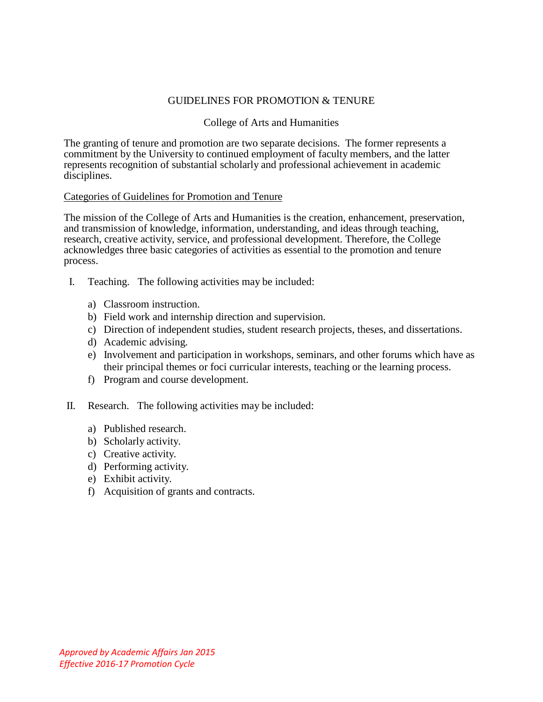# GUIDELINES FOR PROMOTION & TENURE

## College of Arts and Humanities

The granting of tenure and promotion are two separate decisions. The former represents a commitment by the University to continued employment of faculty members, and the latter represents recognition of substantial scholarly and professional achievement in academic disciplines.

#### Categories of Guidelines for Promotion and Tenure

The mission of the College of Arts and Humanities is the creation, enhancement, preservation, and transmission of knowledge, information, understanding, and ideas through teaching, research, creative activity, service, and professional development. Therefore, the College acknowledges three basic categories of activities as essential to the promotion and tenure process.

- I. Teaching. The following activities may be included:
	- a) Classroom instruction.
	- b) Field work and internship direction and supervision.
	- c) Direction of independent studies, student research projects, theses, and dissertations.
	- d) Academic advising.
	- e) Involvement and participation in workshops, seminars, and other forums which have as their principal themes or foci curricular interests, teaching or the learning process.
	- f) Program and course development.
- II. Research. The following activities may be included:
	- a) Published research.
	- b) Scholarly activity.
	- c) Creative activity.
	- d) Performing activity.
	- e) Exhibit activity.
	- f) Acquisition of grants and contracts.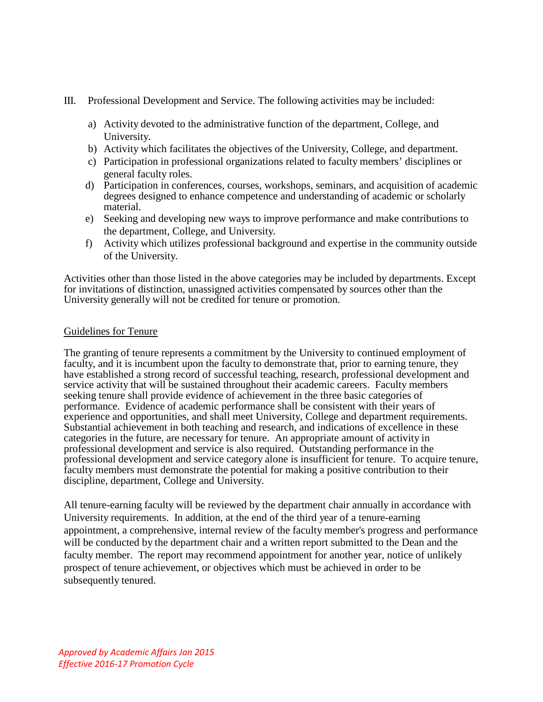- III. Professional Development and Service. The following activities may be included:
	- a) Activity devoted to the administrative function of the department, College, and University.
	- b) Activity which facilitates the objectives of the University, College, and department.
	- c) Participation in professional organizations related to faculty members' disciplines or general faculty roles.
	- d) Participation in conferences, courses, workshops, seminars, and acquisition of academic degrees designed to enhance competence and understanding of academic or scholarly material.
	- e) Seeking and developing new ways to improve performance and make contributions to the department, College, and University.
	- f) Activity which utilizes professional background and expertise in the community outside of the University.

Activities other than those listed in the above categories may be included by departments. Except for invitations of distinction, unassigned activities compensated by sources other than the University generally will not be credited for tenure or promotion.

## Guidelines for Tenure

The granting of tenure represents a commitment by the University to continued employment of faculty, and it is incumbent upon the faculty to demonstrate that, prior to earning tenure, they have established a strong record of successful teaching, research, professional development and service activity that will be sustained throughout their academic careers. Faculty members seeking tenure shall provide evidence of achievement in the three basic categories of performance. Evidence of academic performance shall be consistent with their years of experience and opportunities, and shall meet University, College and department requirements. Substantial achievement in both teaching and research, and indications of excellence in these categories in the future, are necessary for tenure. An appropriate amount of activity in professional development and service is also required. Outstanding performance in the professional development and service category alone is insufficient for tenure. To acquire tenure, faculty members must demonstrate the potential for making a positive contribution to their discipline, department, College and University.

All tenure-earning faculty will be reviewed by the department chair annually in accordance with University requirements. In addition, at the end of the third year of a tenure-earning appointment, a comprehensive, internal review of the faculty member's progress and performance will be conducted by the department chair and a written report submitted to the Dean and the faculty member. The report may recommend appointment for another year, notice of unlikely prospect of tenure achievement, or objectives which must be achieved in order to be subsequently tenured.